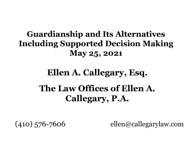#### **Guardianship and Its Alternatives Including Supported Decision Making May 25, 2021**

#### **Ellen A. Callegary, Esq. The Law Offices of Ellen A. Callegary, P.A.**

(410) 576-7606 ellen@callegarylaw.com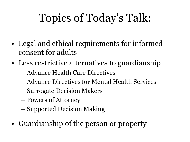# Topics of Today's Talk:

- Legal and ethical requirements for informed consent for adults
- Less restrictive alternatives to guardianship
	- Advance Health Care Directives
	- Advance Directives for Mental Health Services
	- Surrogate Decision Makers
	- Powers of Attorney
	- Supported Decision Making
- Guardianship of the person or property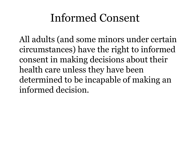#### Informed Consent

All adults (and some minors under certain circumstances) have the right to informed consent in making decisions about their health care unless they have been determined to be incapable of making an informed decision.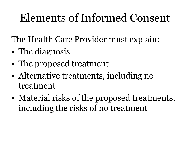### Elements of Informed Consent

The Health Care Provider must explain:

- The diagnosis
- The proposed treatment
- Alternative treatments, including no treatment
- Material risks of the proposed treatments, including the risks of no treatment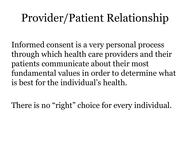### Provider/Patient Relationship

Informed consent is a very personal process through which health care providers and their patients communicate about their most fundamental values in order to determine what is best for the individual's health.

There is no "right" choice for every individual.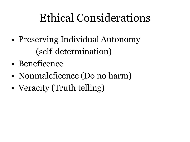### Ethical Considerations

- Preserving Individual Autonomy (self-determination)
- Beneficence
- Nonmaleficence (Do no harm)
- Veracity (Truth telling)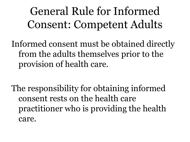General Rule for Informed Consent: Competent Adults

Informed consent must be obtained directly from the adults themselves prior to the provision of health care.

The responsibility for obtaining informed consent rests on the health care practitioner who is providing the health care.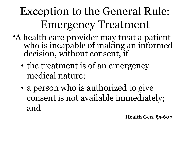## Exception to the General Rule: Emergency Treatment

- "A health care provider may treat a patient who is incapable of making an informed decision, without consent, if
	- the treatment is of an emergency medical nature;
	- a person who is authorized to give consent is not available immediately; and

**Health Gen. §5-607**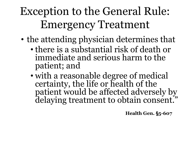### Exception to the General Rule: Emergency Treatment

- the attending physician determines that
	- there is a substantial risk of death or immediate and serious harm to the patient; and
	- with a reasonable degree of medical certainty, the life or health of the patient would be affected adversely by delaying treatment to obtain consent."

**Health Gen. §5-607**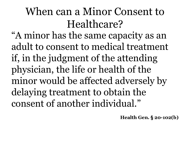### When can a Minor Consent to Healthcare?

"A minor has the same capacity as an adult to consent to medical treatment if, in the judgment of the attending physician, the life or health of the minor would be affected adversely by delaying treatment to obtain the consent of another individual."

**Health Gen. § 20-102(b)**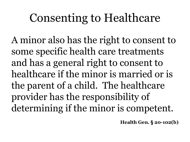### Consenting to Healthcare

A minor also has the right to consent to some specific health care treatments and has a general right to consent to healthcare if the minor is married or is the parent of a child. The healthcare provider has the responsibility of determining if the minor is competent.

**Health Gen. § 20-102(b)**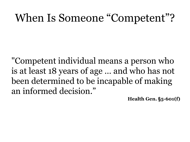#### When Is Someone "Competent"?

"Competent individual means a person who is at least 18 years of age … and who has not been determined to be incapable of making an informed decision."

**Health Gen. §5-601(f)**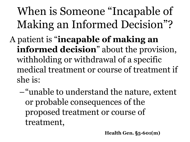When is Someone "Incapable of Making an Informed Decision"? A patient is "**incapable of making an informed decision**" about the provision, withholding or withdrawal of a specific medical treatment or course of treatment if she is:

–"unable to understand the nature, extent or probable consequences of the proposed treatment or course of treatment,

**Health Gen. §5-601(m)**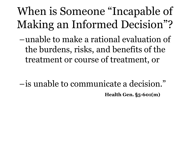When is Someone "Incapable of Making an Informed Decision"?

–unable to make a rational evaluation of the burdens, risks, and benefits of the treatment or course of treatment, or

–is unable to communicate a decision." **Health Gen. §5-601(m)**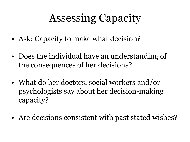### Assessing Capacity

- Ask: Capacity to make what decision?
- Does the individual have an understanding of the consequences of her decisions?
- What do her doctors, social workers and/or psychologists say about her decision-making capacity?
- Are decisions consistent with past stated wishes?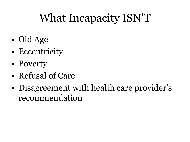# What Incapacity ISN'T

- Old Age
- Eccentricity
- Poverty
- Refusal of Care
- Disagreement with health care provider's recommendation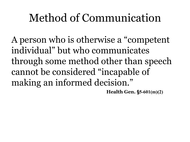#### Method of Communication

A person who is otherwise a "competent individual" but who communicates through some method other than speech cannot be considered "incapable of making an informed decision."

**Health Gen. §5-601(m)(2)**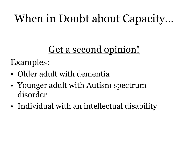### When in Doubt about Capacity…

#### Get a second opinion!

Examples:

- Older adult with dementia
- Younger adult with Autism spectrum disorder
- Individual with an intellectual disability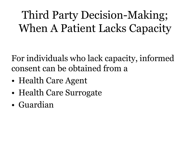Third Party Decision-Making; When A Patient Lacks Capacity

For individuals who lack capacity, informed consent can be obtained from a

- Health Care Agent
- Health Care Surrogate
- Guardian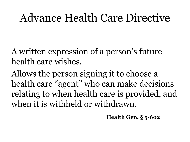#### Advance Health Care Directive

A written expression of a person's future health care wishes.

Allows the person signing it to choose a health care "agent" who can make decisions relating to when health care is provided, and when it is withheld or withdrawn.

**Health Gen. § 5-602**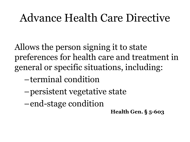#### Advance Health Care Directive

Allows the person signing it to state preferences for health care and treatment in general or specific situations, including:

- –terminal condition
- –persistent vegetative state
- –end-stage condition
- **Health Gen. § 5-603**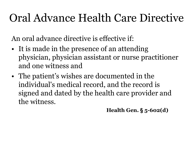### Oral Advance Health Care Directive

An oral advance directive is effective if:

- It is made in the presence of an attending physician, physician assistant or nurse practitioner and one witness and
- The patient's wishes are documented in the individual's medical record, and the record is signed and dated by the health care provider and the witness.

**Health Gen. § 5-602(d)**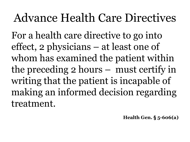### Advance Health Care Directives

For a health care directive to go into effect, 2 physicians – at least one of whom has examined the patient within the preceding 2 hours – must certify in writing that the patient is incapable of making an informed decision regarding treatment.

**Health Gen. § 5-606(a)**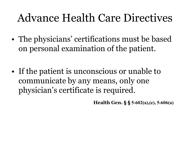#### Advance Health Care Directives

- The physicians' certifications must be based on personal examination of the patient.
- If the patient is unconscious or unable to communicate by any means, only one physician's certificate is required.

**Health Gen. § § 5-602(a),(e), 5-606(a)**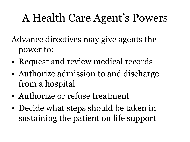### A Health Care Agent's Powers

Advance directives may give agents the power to:

- Request and review medical records
- Authorize admission to and discharge from a hospital
- Authorize or refuse treatment
- Decide what steps should be taken in sustaining the patient on life support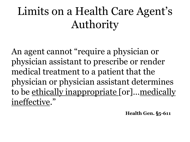### Limits on a Health Care Agent's Authority

An agent cannot "require a physician or physician assistant to prescribe or render medical treatment to a patient that the physician or physician assistant determines to be ethically inappropriate [or]... medically ineffective."

**Health Gen. §5-611**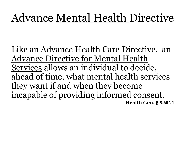### Advance Mental Health Directive

Like an Advance Health Care Directive, an Advance Directive for Mental Health Services allows an individual to decide, ahead of time, what mental health services they want if and when they become incapable of providing informed consent. **Health Gen. § 5-602.1**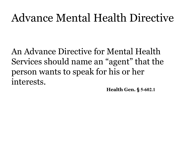#### Advance Mental Health Directive

An Advance Directive for Mental Health Services should name an "agent" that the person wants to speak for his or her interests.

**Health Gen. § 5-602.1**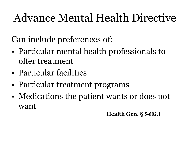### Advance Mental Health Directive

Can include preferences of:

- Particular mental health professionals to offer treatment
- Particular facilities
- Particular treatment programs
- Medications the patient wants or does not want

**Health Gen. § 5-602.1**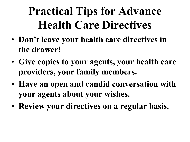# **Practical Tips for Advance Health Care Directives**

- **Don't leave your health care directives in the drawer!**
- **Give copies to your agents, your health care providers, your family members.**
- **Have an open and candid conversation with your agents about your wishes.**
- **Review your directives on a regular basis.**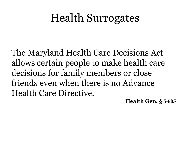The Maryland Health Care Decisions Act allows certain people to make health care decisions for family members or close friends even when there is no Advance Health Care Directive.

**Health Gen. § 5-605**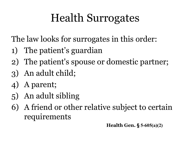The law looks for surrogates in this order:

- 1) The patient's guardian
- 2) The patient's spouse or domestic partner;
- 3) An adult child;
- 4) A parent;
- 5) An adult sibling
- 6) A friend or other relative subject to certain requirements

**Health Gen. § 5-605(a)(2)**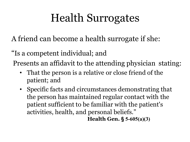A friend can become a health surrogate if she:

"Is a competent individual; and

Presents an affidavit to the attending physician stating:

- That the person is a relative or close friend of the patient; and
- Specific facts and circumstances demonstrating that the person has maintained regular contact with the patient sufficient to be familiar with the patient's activities, health, and personal beliefs." **Health Gen. § 5-605(a)(3)**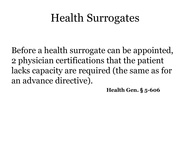Before a health surrogate can be appointed, 2 physician certifications that the patient lacks capacity are required (the same as for an advance directive).

**Health Gen. § 5-606**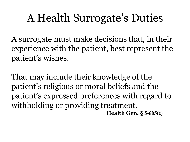#### A Health Surrogate's Duties

A surrogate must make decisions that, in their experience with the patient, best represent the patient's wishes.

That may include their knowledge of the patient's religious or moral beliefs and the patient's expressed preferences with regard to withholding or providing treatment. **Health Gen. § 5-605(c)**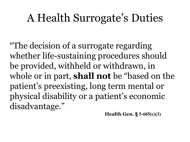#### A Health Surrogate's Duties

"The decision of a surrogate regarding whether life-sustaining procedures should be provided, withheld or withdrawn, in whole or in part, **shall not** be "based on the patient's preexisting, long term mental or physical disability or a patient's economic disadvantage."

**Health Gen. § 5-605(c)(3)**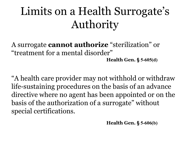# Limits on a Health Surrogate's Authority

A surrogate **cannot authorize** "sterilization" or "treatment for a mental disorder" **Health Gen. § 5-605(d)**

"A health care provider may not withhold or withdraw life-sustaining procedures on the basis of an advance directive where no agent has been appointed or on the basis of the authorization of a surrogate" without special certifications.

**Health Gen. § 5-606(b)**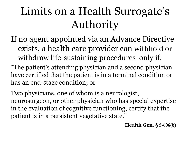# Limits on a Health Surrogate's Authority

- If no agent appointed via an Advance Directive exists, a health care provider can withhold or withdraw life-sustaining procedures only if:
- "The patient's attending physician and a second physician have certified that the patient is in a terminal condition or has an end-stage condition; or

Two physicians, one of whom is a neurologist, neurosurgeon, or other physician who has special expertise in the evaluation of cognitive functioning, certify that the patient is in a persistent vegetative state."

**Health Gen. § 5-606(b)**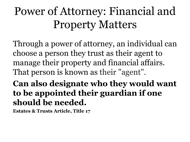# Power of Attorney: Financial and Property Matters

Through a power of attorney, an individual can choose a person they trust as their agent to manage their property and financial affairs. That person is known as their "agent".

**Can also designate who they would want to be appointed their guardian if one should be needed.**

**Estates & Trusts Article, Title 17**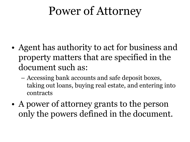# Power of Attorney

- Agent has authority to act for business and property matters that are specified in the document such as:
	- Accessing bank accounts and safe deposit boxes, taking out loans, buying real estate, and entering into contracts
- A power of attorney grants to the person only the powers defined in the document.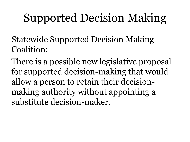# Supported Decision Making

Statewide Supported Decision Making Coalition:

There is a possible new legislative proposal for supported decision-making that would allow a person to retain their decisionmaking authority without appointing a substitute decision-maker.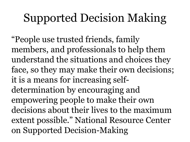# Supported Decision Making

"People use trusted friends, family members, and professionals to help them understand the situations and choices they face, so they may make their own decisions; it is a means for increasing selfdetermination by encouraging and empowering people to make their own decisions about their lives to the maximum extent possible." National Resource Center on Supported Decision-Making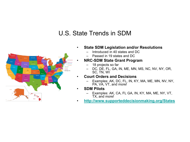#### U.S. State Trends in SDM



- **State SDM Legislation and/or Resolutions**
	- Introduced in 40 states and DC
	- Passed in 19 states and DC

#### • **NRC-SDM State Grant Program**

- 18 projects so far
- DC, DE, FL, GA, IN, ME, MN, MS, NC, NV, NY, OR, SC, TN, WI
- **Court Orders and Decisions**
	- Examples: AK, DC, FL, IN, KY, MA, ME, MN, NV, NY, PA, VA, VT, and more!
- **SDM Pilots** 
	- Examples: AK, CA, FL GA, IN, KY, MA, ME, NY, VT, TX, and more!
- **<http://www.supporteddecisionmaking.org/States>**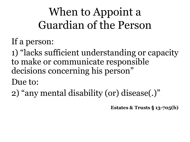# When to Appoint a Guardian of the Person

If a person:

1) "lacks sufficient understanding or capacity to make or communicate responsible decisions concerning his person"

Due to:

2) "any mental disability (or) disease(.)"

**Estates & Trusts § 13-705(b)**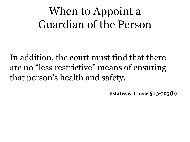#### When to Appoint a Guardian of the Person

In addition, the court must find that there are no "less restrictive" means of ensuring that person's health and safety.

**Estates & Trusts § 13-705(b)**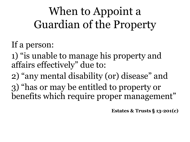When to Appoint a Guardian of the Property

If a person:

1) "is unable to manage his property and affairs effectively" due to:

2) "any mental disability (or) disease" and 3) "has or may be entitled to property or benefits which require proper management"

**Estates & Trusts § 13-201(c)**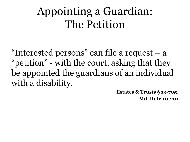#### Appointing a Guardian: The Petition

"Interested persons" can file a request – a "petition" - with the court, asking that they be appointed the guardians of an individual with a disability.

> **Estates & Trusts § 13-705, Md. Rule 10-201**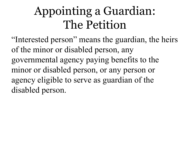# Appointing a Guardian: The Petition

"Interested person" means the guardian, the heirs of the minor or disabled person, any governmental agency paying benefits to the minor or disabled person, or any person or agency eligible to serve as guardian of the disabled person.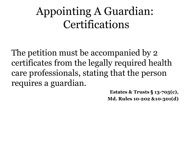The petition must be accompanied by 2 certificates from the legally required health care professionals, stating that the person requires a guardian.

> **Estates & Trusts § 13-705(c), Md. Rules 10-202 &10-301(d)**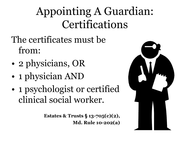- The certificates must be from:
- 2 physicians, OR
- 1 physician AND
- 1 psychologist or certified clinical social worker.

**Estates & Trusts § 13-705(c)(2), Md. Rule 10-202(a)**

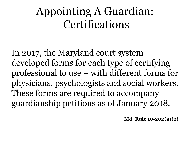In 2017, the Maryland court system developed forms for each type of certifying professional to use – with different forms for physicians, psychologists and social workers. These forms are required to accompany guardianship petitions as of January 2018.

**Md. Rule 10-202(a)(2)**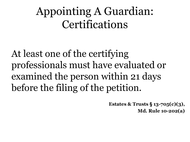At least one of the certifying professionals must have evaluated or examined the person within 21 days before the filing of the petition.

> **Estates & Trusts § 13-705(c)(3), Md. Rule 10-202(a)**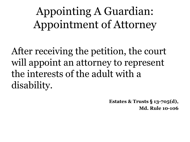Appointing A Guardian: Appointment of Attorney

After receiving the petition, the court will appoint an attorney to represent the interests of the adult with a disability.

> **Estates & Trusts § 13-705(d), Md. Rule 10-106**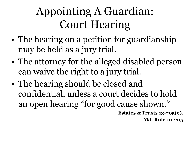# Appointing A Guardian: Court Hearing

- The hearing on a petition for guardianship may be held as a jury trial.
- The attorney for the alleged disabled person can waive the right to a jury trial.
- The hearing should be closed and confidential, unless a court decides to hold an open hearing "for good cause shown."

**Estates & Trusts 13-705(e), Md. Rule 10-205**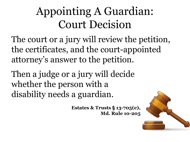### Appointing A Guardian: Court Decision

The court or a jury will review the petition, the certificates, and the court-appointed attorney's answer to the petition.

Then a judge or a jury will decide whether the person with a disability needs a guardian.

> **Estates & Trusts § 13-705(e), Md. Rule 10-205**

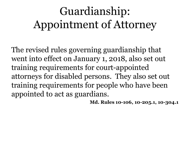# Guardianship: Appointment of Attorney

The revised rules governing guardianship that went into effect on January 1, 2018, also set out training requirements for court-appointed attorneys for disabled persons. They also set out training requirements for people who have been appointed to act as guardians.

**Md. Rules 10-106, 10-205.1, 10-304.1**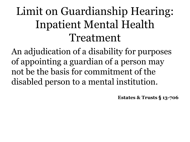# Limit on Guardianship Hearing: Inpatient Mental Health Treatment

An adjudication of a disability for purposes of appointing a guardian of a person may not be the basis for commitment of the disabled person to a mental institution.

**Estates & Trusts § 13-706**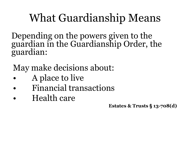#### What Guardianship Means

Depending on the powers given to the guardian in the Guardianship Order, the guardian:

May make decisions about:

- A place to live
- Financial transactions
- Health care

**Estates & Trusts § 13-708(d)**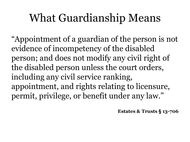#### What Guardianship Means

"Appointment of a guardian of the person is not evidence of incompetency of the disabled person; and does not modify any civil right of the disabled person unless the court orders, including any civil service ranking, appointment, and rights relating to licensure, permit, privilege, or benefit under any law."

**Estates & Trusts § 13-706**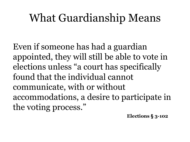#### What Guardianship Means

Even if someone has had a guardian appointed, they will still be able to vote in elections unless "a court has specifically found that the individual cannot communicate, with or without accommodations, a desire to participate in the voting process."

**Elections § 3-102**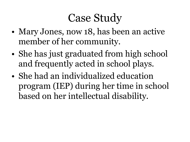- Mary Jones, now 18, has been an active member of her community.
- She has just graduated from high school and frequently acted in school plays.
- She had an individualized education program (IEP) during her time in school based on her intellectual disability.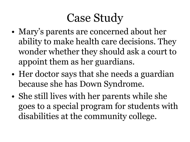- Mary's parents are concerned about her ability to make health care decisions. They wonder whether they should ask a court to appoint them as her guardians.
- Her doctor says that she needs a guardian because she has Down Syndrome.
- She still lives with her parents while she goes to a special program for students with disabilities at the community college.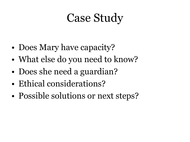- Does Mary have capacity?
- What else do you need to know?
- Does she need a guardian?
- Ethical considerations?
- Possible solutions or next steps?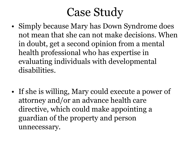- Simply because Mary has Down Syndrome does not mean that she can not make decisions. When in doubt, get a second opinion from a mental health professional who has expertise in evaluating individuals with developmental disabilities.
- If she is willing, Mary could execute a power of attorney and/or an advance health care directive, which could make appointing a guardian of the property and person unnecessary.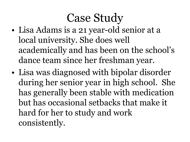- Lisa Adams is a 21 year-old senior at a local university. She does well academically and has been on the school's dance team since her freshman year.
- Lisa was diagnosed with bipolar disorder during her senior year in high school. She has generally been stable with medication but has occasional setbacks that make it hard for her to study and work consistently.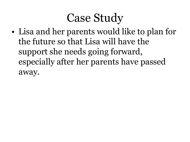• Lisa and her parents would like to plan for the future so that Lisa will have the support she needs going forward, especially after her parents have passed away.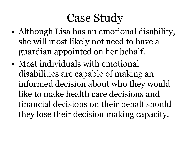- Although Lisa has an emotional disability, she will most likely not need to have a guardian appointed on her behalf.
- Most individuals with emotional disabilities are capable of making an informed decision about who they would like to make health care decisions and financial decisions on their behalf should they lose their decision making capacity.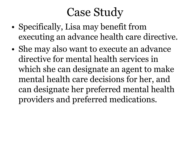- Specifically, Lisa may benefit from executing an advance health care directive.
- She may also want to execute an advance directive for mental health services in which she can designate an agent to make mental health care decisions for her, and can designate her preferred mental health providers and preferred medications.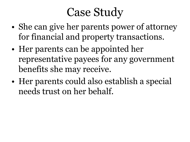- She can give her parents power of attorney for financial and property transactions.
- Her parents can be appointed her representative payees for any government benefits she may receive.
- Her parents could also establish a special needs trust on her behalf.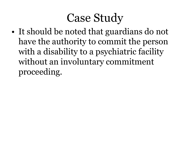• It should be noted that guardians do not have the authority to commit the person with a disability to a psychiatric facility without an involuntary commitment proceeding.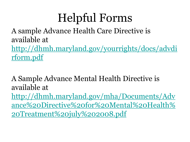# Helpful Forms

A sample Advance Health Care Directive is available at

[http://dhmh.maryland.gov/yourrights/docs/advdi](http://dhmh.maryland.gov/yourrights/docs/advdirform.pdf) rform.pdf

A Sample Advance Mental Health Directive is available at http://dhmh.maryland.gov/mha/Documents/Adv [ance%20Directive%20for%20Mental%20Health%](http://dhmh.maryland.gov/mha/Documents/Advance%20Directive%20for%20Mental%20Health%20Treatment%20july%202008.pdf) 20Treatment%20july%202008.pdf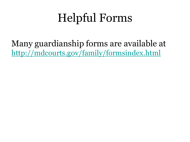# Helpful Forms

Many guardianship forms are available at <http://mdcourts.gov/family/formsindex.html>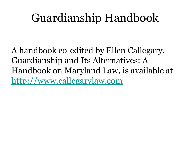## Guardianship Handbook

A handbook co-edited by Ellen Callegary, Guardianship and Its Alternatives: A Handbook on Maryland Law, is available at [http://www.callegarylaw.com](http://www.callegarylaw.com/)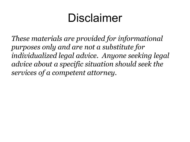## Disclaimer

*These materials are provided for informational purposes only and are not a substitute for individualized legal advice. Anyone seeking legal advice about a specific situation should seek the services of a competent attorney.*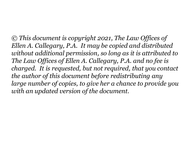*© This document is copyright 2021, The Law Offices of Ellen A. Callegary, P.A. It may be copied and distributed without additional permission, so long as it is attributed to The Law Offices of Ellen A. Callegary, P.A. and no fee is charged. It is requested, but not required, that you contact the author of this document before redistributing any large number of copies, to give her a chance to provide you with an updated version of the document.*